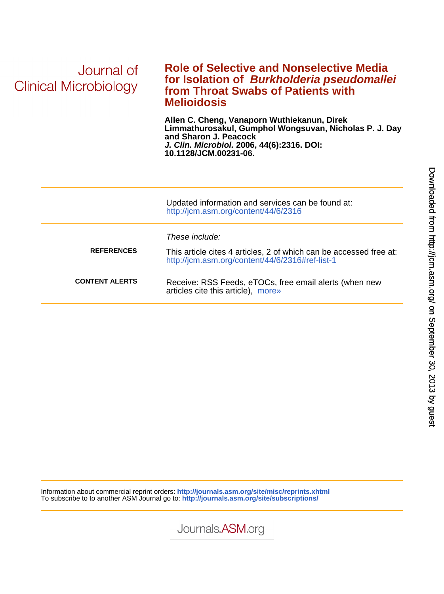| Journal of<br>Clinical Microbiology | <b>Role of Selective and Nonselective Media</b><br>for Isolation of Burkholderia pseudomallei<br>from Throat Swabs of Patients with<br><b>Melioidosis</b>                                             |
|-------------------------------------|-------------------------------------------------------------------------------------------------------------------------------------------------------------------------------------------------------|
|                                     | Allen C. Cheng, Vanaporn Wuthiekanun, Direk<br>Limmathurosakul, Gumphol Wongsuvan, Nicholas P. J. Day<br>and Sharon J. Peacock<br>J. Clin. Microbiol. 2006, 44(6):2316. DOI:<br>10.1128/JCM.00231-06. |
|                                     | Updated information and services can be found at:<br>http://jcm.asm.org/content/44/6/2316                                                                                                             |
| <b>REFERENCES</b>                   | These include:<br>This article cites 4 articles, 2 of which can be accessed free at:<br>http://jcm.asm.org/content/44/6/2316#ref-list-1                                                               |
| <b>CONTENT ALERTS</b>               | Receive: RSS Feeds, eTOCs, free email alerts (when new<br>articles cite this article), more»                                                                                                          |

Information about commercial reprint orders: **http://journals.asm.org/site/misc/reprints.xhtml** To subscribe to to another ASM Journal go to: **http://journals.asm.org/site/subscriptions/**